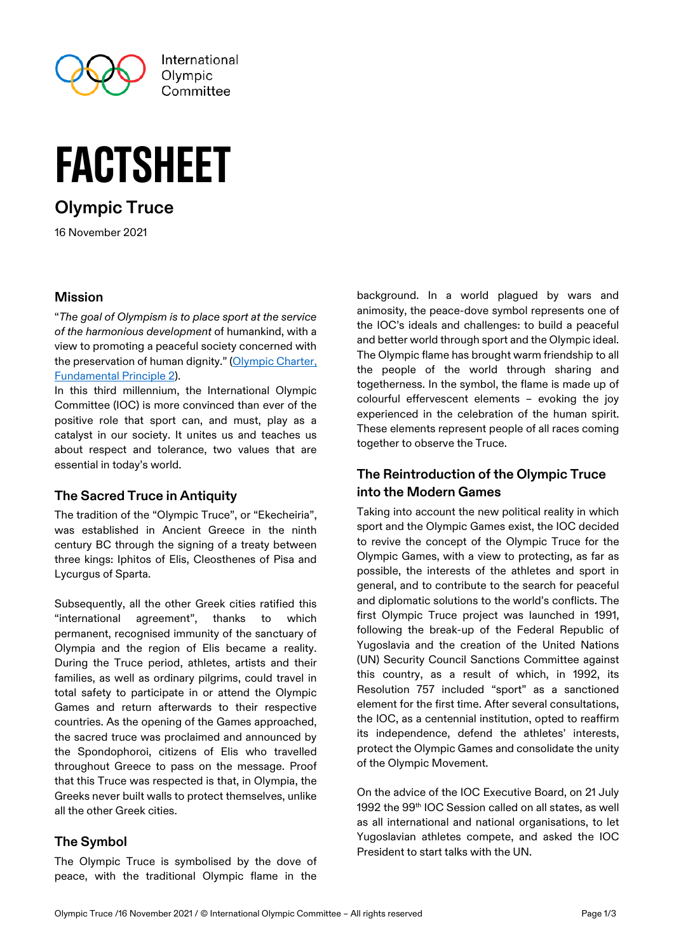

International Olvmpic Committee

# factsheet

# **Olympic Truce**

16 November 2021

#### **Mission**

"*The goal of Olympism is to place sport at the service of the harmonious development* of humankind, with a view to promoting a peaceful society concerned with the preservation of human dignity." (Olympic Charter, [Fundamental Principle 2\)](https://stillmed.olympic.org/media/Document%20Library/OlympicOrg/General/EN-Olympic-Charter.pdf#page=12).

In this third millennium, the International Olympic Committee (IOC) is more convinced than ever of the positive role that sport can, and must, play as a catalyst in our society. It unites us and teaches us about respect and tolerance, two values that are essential in today's world.

#### **The Sacred Truce in Antiquity**

The tradition of the "Olympic Truce", or "Ekecheiria", was established in Ancient Greece in the ninth century BC through the signing of a treaty between three kings: Iphitos of Elis, Cleosthenes of Pisa and Lycurgus of Sparta.

Subsequently, all the other Greek cities ratified this "international agreement", thanks to which permanent, recognised immunity of the sanctuary of Olympia and the region of Elis became a reality. During the Truce period, athletes, artists and their families, as well as ordinary pilgrims, could travel in total safety to participate in or attend the Olympic Games and return afterwards to their respective countries. As the opening of the Games approached, the sacred truce was proclaimed and announced by the Spondophoroi, citizens of Elis who travelled throughout Greece to pass on the message. Proof that this Truce was respected is that, in Olympia, the Greeks never built walls to protect themselves, unlike all the other Greek cities.

## **The Symbol**

The Olympic Truce is symbolised by the dove of peace, with the traditional Olympic flame in the

background. In a world plagued by wars and animosity, the peace-dove symbol represents one of the IOC's ideals and challenges: to build a peaceful and better world through sport and the Olympic ideal. The Olympic flame has brought warm friendship to all the people of the world through sharing and togetherness. In the symbol, the flame is made up of colourful effervescent elements – evoking the joy experienced in the celebration of the human spirit. These elements represent people of all races coming together to observe the Truce.

# **The Reintroduction of the Olympic Truce into the Modern Games**

Taking into account the new political reality in which sport and the Olympic Games exist, the IOC decided to revive the concept of the Olympic Truce for the Olympic Games, with a view to protecting, as far as possible, the interests of the athletes and sport in general, and to contribute to the search for peaceful and diplomatic solutions to the world's conflicts. The first Olympic Truce project was launched in 1991, following the break-up of the Federal Republic of Yugoslavia and the creation of the United Nations (UN) Security Council Sanctions Committee against this country, as a result of which, in 1992, its Resolution 757 included "sport" as a sanctioned element for the first time. After several consultations, the IOC, as a centennial institution, opted to reaffirm its independence, defend the athletes' interests, protect the Olympic Games and consolidate the unity of the Olympic Movement.

On the advice of the IOC Executive Board, on 21 July 1992 the 99<sup>th</sup> IOC Session called on all states, as well as all international and national organisations, to let Yugoslavian athletes compete, and asked the IOC President to start talks with the UN.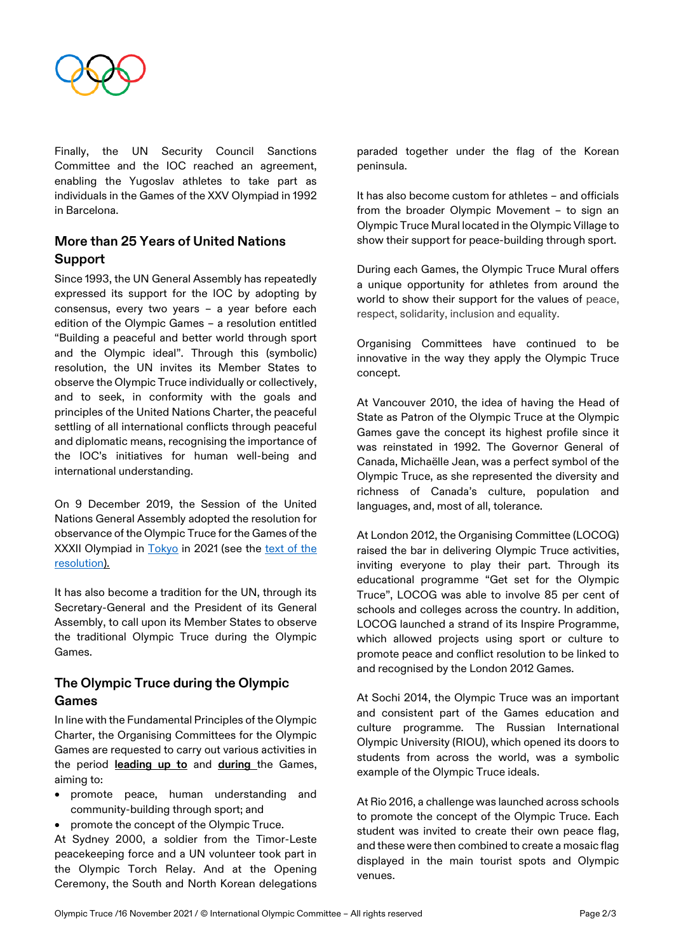

Finally, the UN Security Council Sanctions Committee and the IOC reached an agreement, enabling the Yugoslav athletes to take part as individuals in the Games of the XXV Olympiad in 1992 in Barcelona.

## **More than 25 Years of United Nations Support**

Since 1993, the UN General Assembly has repeatedly expressed its support for the IOC by adopting by consensus, every two years – a year before each edition of the Olympic Games – a resolution entitled "Building a peaceful and better world through sport and the Olympic ideal". Through this (symbolic) resolution, the UN invites its Member States to observe the Olympic Truce individually or collectively, and to seek, in conformity with the goals and principles of the United Nations Charter, the peaceful settling of all international conflicts through peaceful and diplomatic means, recognising the importance of the IOC's initiatives for human well-being and international understanding.

On 9 December 2019, the Session of the United Nations General Assembly adopted the resolution for observance of the Olympic Truce for the Games of the XXXII Olympiad in [Tokyo](https://olympics.com/ioc/tokyo-2020) in 2021 (see the [text of the](https://undocs.org/en/A/74/L.18)  [resolution\).](https://undocs.org/en/A/74/L.18)

It has also become a tradition for the UN, through its Secretary-General and the President of its General Assembly, to call upon its Member States to observe the traditional Olympic Truce during the Olympic Games.

#### **The Olympic Truce during the Olympic Games**

In line with the Fundamental Principles of the Olympic Charter, the Organising Committees for the Olympic Games are requested to carry out various activities in the period **leading up to** and **during** the Games, aiming to:

- promote peace, human understanding and community-building through sport; and
- promote the concept of the Olympic Truce.

At Sydney 2000, a soldier from the Timor-Leste peacekeeping force and a UN volunteer took part in the Olympic Torch Relay. And at the Opening Ceremony, the South and North Korean delegations paraded together under the flag of the Korean peninsula.

It has also become custom for athletes – and officials from the broader Olympic Movement – to sign an Olympic Truce Mural located in the Olympic Village to show their support for peace-building through sport.

During each Games, the Olympic Truce Mural offers a unique opportunity for athletes from around the world to show their support for the values of peace, respect, solidarity, inclusion and equality.

Organising Committees have continued to be innovative in the way they apply the Olympic Truce concept.

At Vancouver 2010, the idea of having the Head of State as Patron of the Olympic Truce at the Olympic Games gave the concept its highest profile since it was reinstated in 1992. The Governor General of Canada, Michaëlle Jean, was a perfect symbol of the Olympic Truce, as she represented the diversity and richness of Canada's culture, population and languages, and, most of all, tolerance.

At London 2012, the Organising Committee (LOCOG) raised the bar in delivering Olympic Truce activities, inviting everyone to play their part. Through its educational programme "Get set for the Olympic Truce", LOCOG was able to involve 85 per cent of schools and colleges across the country. In addition, LOCOG launched a strand of its Inspire Programme, which allowed projects using sport or culture to promote peace and conflict resolution to be linked to and recognised by the London 2012 Games.

At Sochi 2014, the Olympic Truce was an important and consistent part of the Games education and culture programme. The Russian International Olympic University (RIOU), which opened its doors to students from across the world, was a symbolic example of the Olympic Truce ideals.

At Rio 2016, a challenge was launched across schools to promote the concept of the Olympic Truce. Each student was invited to create their own peace flag, and these were then combined to create a mosaic flag displayed in the main tourist spots and Olympic venues.